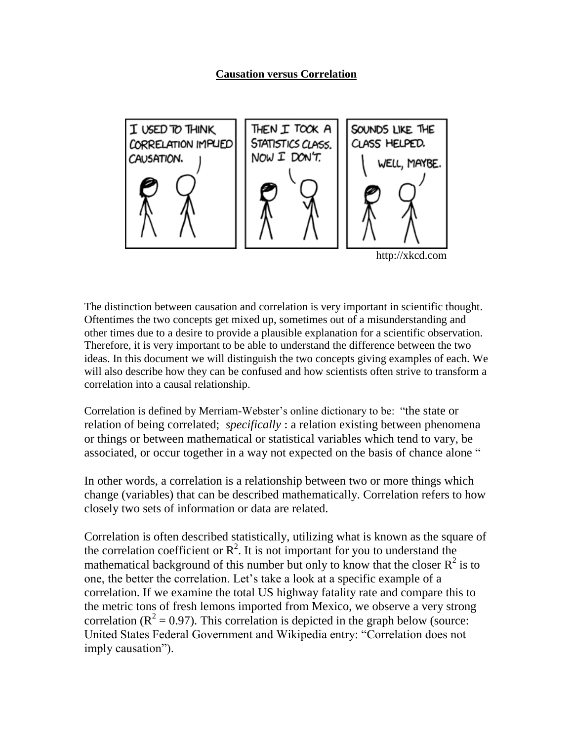

http://xkcd.com

The distinction between causation and correlation is very important in scientific thought. Oftentimes the two concepts get mixed up, sometimes out of a misunderstanding and other times due to a desire to provide a plausible explanation for a scientific observation. Therefore, it is very important to be able to understand the difference between the two ideas. In this document we will distinguish the two concepts giving examples of each. We will also describe how they can be confused and how scientists often strive to transform a correlation into a causal relationship.

Correlation is defined by Merriam-Webster's online dictionary to be: "the state or relation of being correlated; *specifically* **:** a relation existing between phenomena or things or between mathematical or statistical variables which tend to vary, be associated, or occur together in a way not expected on the basis of chance alone "

In other words, a correlation is a relationship between two or more things which change (variables) that can be described mathematically. Correlation refers to how closely two sets of information or data are related.

Correlation is often described statistically, utilizing what is known as the square of the correlation coefficient or  $\mathbb{R}^2$ . It is not important for you to understand the mathematical background of this number but only to know that the closer  $R^2$  is to one, the better the correlation. Let's take a look at a specific example of a correlation. If we examine the total US highway fatality rate and compare this to the metric tons of fresh lemons imported from Mexico, we observe a very strong correlation ( $R^2 = 0.97$ ). This correlation is depicted in the graph below (source: United States Federal Government and Wikipedia entry: "Correlation does not imply causation").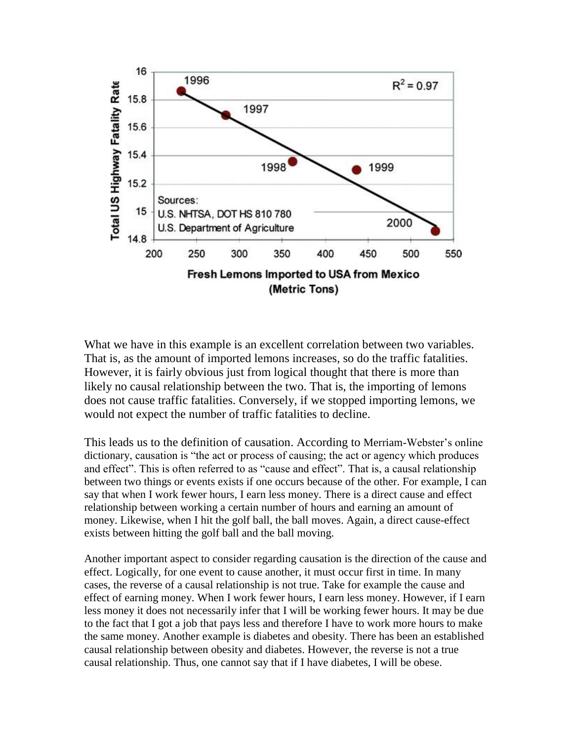

What we have in this example is an excellent correlation between two variables. That is, as the amount of imported lemons increases, so do the traffic fatalities. However, it is fairly obvious just from logical thought that there is more than likely no causal relationship between the two. That is, the importing of lemons does not cause traffic fatalities. Conversely, if we stopped importing lemons, we would not expect the number of traffic fatalities to decline.

This leads us to the definition of causation. According to Merriam-Webster's online dictionary, causation is "the act or process of causing; the act or agency which produces and effect". This is often referred to as "cause and effect". That is, a causal relationship between two things or events exists if one occurs because of the other. For example, I can say that when I work fewer hours, I earn less money. There is a direct cause and effect relationship between working a certain number of hours and earning an amount of money. Likewise, when I hit the golf ball, the ball moves. Again, a direct cause-effect exists between hitting the golf ball and the ball moving.

Another important aspect to consider regarding causation is the direction of the cause and effect. Logically, for one event to cause another, it must occur first in time. In many cases, the reverse of a causal relationship is not true. Take for example the cause and effect of earning money. When I work fewer hours, I earn less money. However, if I earn less money it does not necessarily infer that I will be working fewer hours. It may be due to the fact that I got a job that pays less and therefore I have to work more hours to make the same money. Another example is diabetes and obesity. There has been an established causal relationship between obesity and diabetes. However, the reverse is not a true causal relationship. Thus, one cannot say that if I have diabetes, I will be obese.